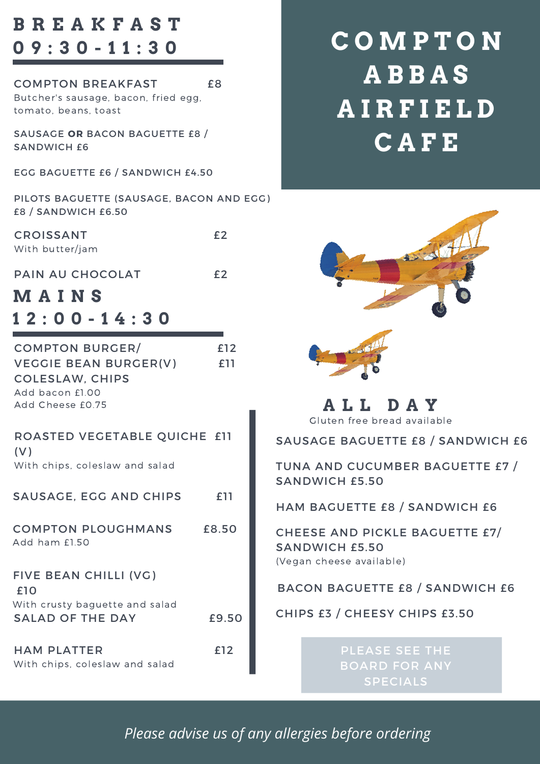## **B R E A K F A S T 0 9 : 3 0 - 1 1 : 3 0**

| <b>COMPTON BREAKFAST</b>             | £8. |
|--------------------------------------|-----|
| Butcher's sausage, bacon, fried egg, |     |
| tomato, beans, toast                 |     |
|                                      |     |

SAUSAGE **OR** BACON BAGUETTE £8 / SANDWICH £6

EGG BAGUETTE £6 / SANDWICH £4.50

PILOTS BAGUETTE (SAUSAGE, BACON AND EGG) £8 / SANDWICH £6.50

CROISSANT £2 With butter/jam

PAIN AU CHOCOLAT **E2** 

## **M A I N S 1 2 : 0 0 - 1 4 : 3 0**

| <b>COMPTON BURGER/</b>                          | £12   |
|-------------------------------------------------|-------|
| VEGGIE BEAN BURGER(V)<br><b>COLESLAW, CHIPS</b> | £11   |
| Add bacon £1.00                                 |       |
| Add Cheese £0.75                                |       |
| ROASTED VEGETABLE QUICHE £11<br>(V)             |       |
| With chips, coleslaw and salad                  |       |
| SAUSAGE, EGG AND CHIPS                          | £11   |
| <b>COMPTON PLOUGHMANS</b><br>Add ham £1.50      | £8.50 |
| FIVE BEAN CHILLI (VG)<br>£10                    |       |
| With crusty baguette and salad                  |       |
| <b>SALAD OF THE DAY</b>                         | £9.50 |
| <b>HAM PLATTER</b>                              | £12   |
| With chips, coleslaw and salad                  |       |

# **C O M P T O N A B B A S A I R F I E L D C A F E**



Gluten free bread available **A L L D A Y**

SAUSAGE BAGUETTE £8 / SANDWICH £6

TUNA AND CUCUMBER BAGUETTE £7 / SANDWICH £5.50

HAM BAGUETTE £8 / SANDWICH £6

CHEESE AND PICKLE BAGUETTE £7/ SANDWICH £5.50 (Vegan cheese available)

BACON BAGUETTE £8 / SANDWICH £6

CHIPS £3 / CHEESY CHIPS £3.50

PLEASE SEE THE BOARD FOR ANY SPECIALS

*Please advise us of any allergies before ordering*